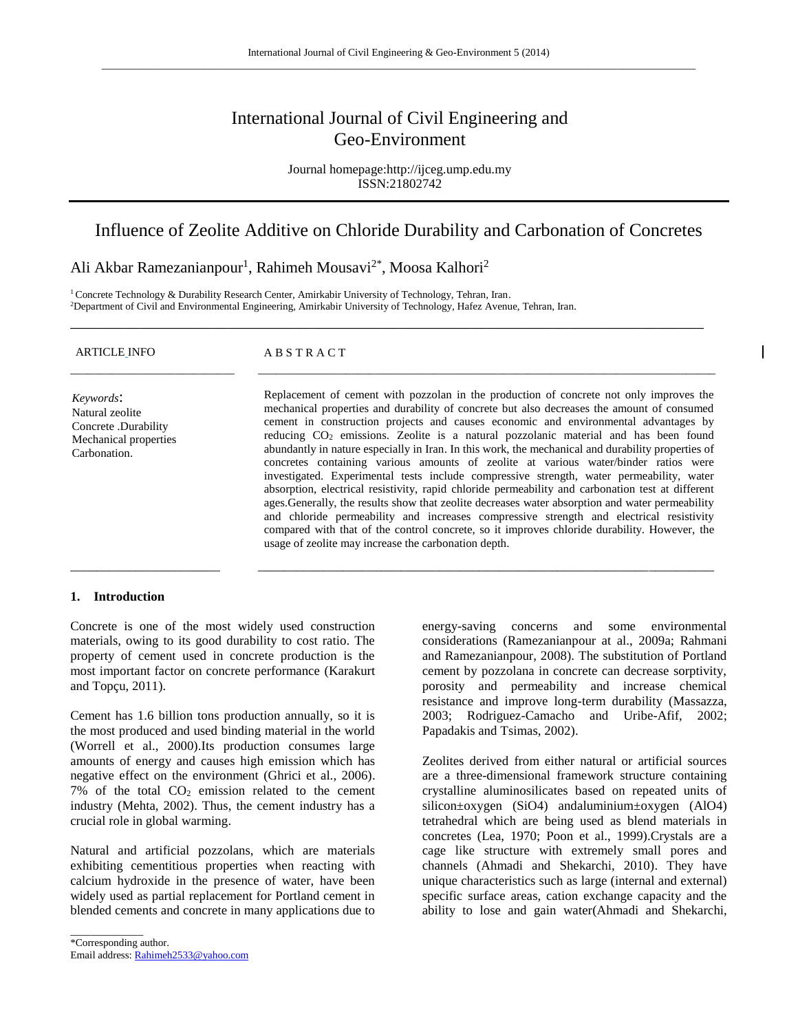# International Journal of Civil Engineering and Geo-Environment

Journal homepage:http://ijceg.ump.edu.my ISSN:21802742

# Influence of Zeolite Additive on Chloride Durability and Carbonation of Concretes

\_\_\_\_\_\_\_\_\_\_\_\_\_\_\_\_\_\_\_\_\_\_\_\_\_\_\_\_\_\_\_\_\_\_\_\_\_\_\_\_\_\_\_\_\_\_\_\_\_\_\_\_\_\_\_\_\_\_\_\_\_\_\_\_\_\_\_\_\_\_\_\_\_\_\_\_\_\_\_\_\_

Ali Akbar Ramezanianpour<sup>1</sup>, Rahimeh Mousavi<sup>2\*</sup>, Moosa Kalhori<sup>2</sup>

<sup>1</sup> Concrete Technology & Durability Research Center, Amirkabir University of Technology, Tehran, Iran. <sup>2</sup>Department of Civil and Environmental Engineering, Amirkabir University of Technology, Hafez Avenue, Tehran, Iran.

| <b>ARTICLE INFO</b>                                                                           | <b>ABSTRACT</b>                                                                                                                                                                                                                                                                                                                                                                                                                                                                                                                                                                                                                                                                                                                                                                                                                                                                                                                                                                                                                                                                                                                      |
|-----------------------------------------------------------------------------------------------|--------------------------------------------------------------------------------------------------------------------------------------------------------------------------------------------------------------------------------------------------------------------------------------------------------------------------------------------------------------------------------------------------------------------------------------------------------------------------------------------------------------------------------------------------------------------------------------------------------------------------------------------------------------------------------------------------------------------------------------------------------------------------------------------------------------------------------------------------------------------------------------------------------------------------------------------------------------------------------------------------------------------------------------------------------------------------------------------------------------------------------------|
| Keywords:<br>Natural zeolite<br>Concrete .Durability<br>Mechanical properties<br>Carbonation. | Replacement of cement with pozzolan in the production of concrete not only improves the<br>mechanical properties and durability of concrete but also decreases the amount of consumed<br>cement in construction projects and causes economic and environmental advantages by<br>reducing CO <sub>2</sub> emissions. Zeolite is a natural pozzolanic material and has been found<br>abundantly in nature especially in Iran. In this work, the mechanical and durability properties of<br>concretes containing various amounts of zeolite at various water/binder ratios were<br>investigated. Experimental tests include compressive strength, water permeability, water<br>absorption, electrical resistivity, rapid chloride permeability and carbonation test at different<br>ages. Generally, the results show that zeolite decreases water absorption and water permeability<br>and chloride permeability and increases compressive strength and electrical resistivity<br>compared with that of the control concrete, so it improves chloride durability. However, the<br>usage of zeolite may increase the carbonation depth. |

\_\_\_\_\_\_\_\_\_\_\_\_\_\_\_\_\_\_\_\_\_\_\_ \_\_\_\_\_\_\_\_\_\_\_\_\_\_\_\_\_\_\_\_\_\_\_\_\_\_\_\_\_\_\_\_\_\_\_\_\_\_\_\_\_\_\_\_\_\_\_\_\_\_\_\_\_\_\_\_\_\_\_\_\_\_\_\_\_\_\_\_\_\_

## **1. Introduction**

Concrete is one of the most widely used construction materials, owing to its good durability to cost ratio. The property of cement used in concrete production is the most important factor on concrete performance (Karakurt and Topçu, 2011).

Cement has 1.6 billion tons production annually, so it is the most produced and used binding material in the world (Worrell et al., 2000).Its production consumes large amounts of energy and causes high emission which has negative effect on the environment (Ghrici et al., 2006). 7% of the total  $CO<sub>2</sub>$  emission related to the cement industry (Mehta, 2002). Thus, the cement industry has a crucial role in global warming.

Natural and artificial pozzolans, which are materials exhibiting cementitious properties when reacting with calcium hydroxide in the presence of water, have been widely used as partial replacement for Portland cement in blended cements and concrete in many applications due to

\*Corresponding author. Email address[: Rahimeh2533@yahoo.com](mailto:Rahimeh2533@yahoo.com)

\_\_\_\_\_\_\_\_\_\_\_\_\_\_

energy-saving concerns and some environmental considerations (Ramezanianpour at al., 2009a; Rahmani and Ramezanianpour, 2008). The substitution of Portland cement by pozzolana in concrete can decrease sorptivity, porosity and permeability and increase chemical resistance and improve long-term durability (Massazza, 2003; Rodriguez-Camacho and Uribe-Afif, 2002; Papadakis and Tsimas, 2002).

Zeolites derived from either natural or artificial sources are a three-dimensional framework structure containing crystalline aluminosilicates based on repeated units of silicon±oxygen (SiO4) andaluminium±oxygen (AlO4) tetrahedral which are being used as blend materials in concretes (Lea, 1970; Poon et al., 1999).Crystals are a cage like structure with extremely small pores and channels (Ahmadi and Shekarchi, 2010). They have unique characteristics such as large (internal and external) specific surface areas, cation exchange capacity and the ability to lose and gain water(Ahmadi and Shekarchi,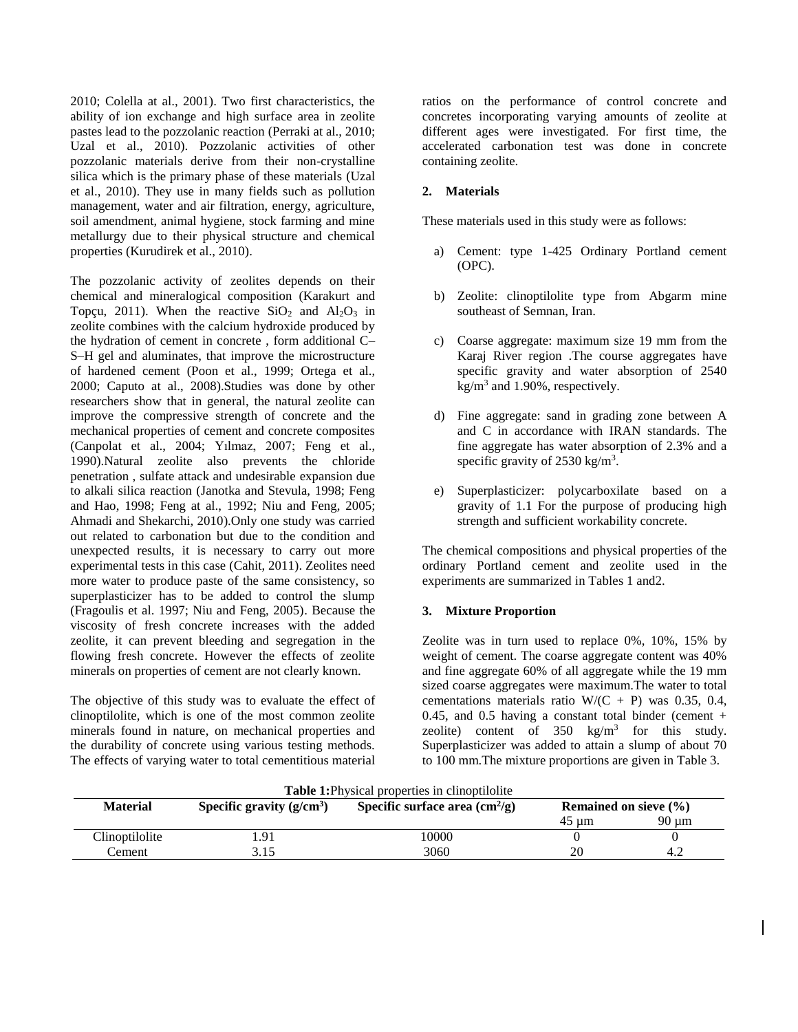2010; Colella at al., 2001). Two first characteristics, the ability of ion exchange and high surface area in zeolite pastes lead to the pozzolanic reaction (Perraki at al., 2010; Uzal et al., 2010). Pozzolanic activities of other pozzolanic materials derive from their non-crystalline silica which is the primary phase of these materials (Uzal et al., 2010). They use in many fields such as pollution management, water and air filtration, energy, agriculture, soil amendment, animal hygiene, stock farming and mine metallurgy due to their physical structure and chemical properties (Kurudirek et al., 2010).

The pozzolanic activity of zeolites depends on their chemical and mineralogical composition (Karakurt and Topçu, 2011). When the reactive  $SiO_2$  and  $Al_2O_3$  in zeolite combines with the calcium hydroxide produced by the hydration of cement in concrete , form additional C– S–H gel and aluminates, that improve the microstructure of hardened cement (Poon et al., 1999; Ortega et al., 2000; Caputo at al., 2008).Studies was done by other researchers show that in general, the natural zeolite can improve the compressive strength of concrete and the mechanical properties of cement and concrete composites (Canpolat et al., 2004; Yılmaz, 2007; Feng et al., 1990).Natural zeolite also prevents the chloride penetration , sulfate attack and undesirable expansion due to alkali silica reaction (Janotka and Stevula, 1998; Feng and Hao, 1998; Feng at al., 1992; Niu and Feng, 2005; Ahmadi and Shekarchi, 2010).Only one study was carried out related to carbonation but due to the condition and unexpected results, it is necessary to carry out more experimental tests in this case (Cahit, 2011). Zeolites need more water to produce paste of the same consistency, so superplasticizer has to be added to control the slump (Fragoulis et al. 1997; Niu and Feng, 2005). Because the viscosity of fresh concrete increases with the added zeolite, it can prevent bleeding and segregation in the flowing fresh concrete. However the effects of zeolite minerals on properties of cement are not clearly known.

The objective of this study was to evaluate the effect of clinoptilolite, which is one of the most common zeolite minerals found in nature, on mechanical properties and the durability of concrete using various testing methods. The effects of varying water to total cementitious material ratios on the performance of control concrete and concretes incorporating varying amounts of zeolite at different ages were investigated. For first time, the accelerated carbonation test was done in concrete containing zeolite.

# **2. Materials**

These materials used in this study were as follows:

- a) Cement: type 1-425 Ordinary Portland cement (OPC).
- b) Zeolite: clinoptilolite type from Abgarm mine southeast of Semnan, Iran.
- c) Coarse aggregate: maximum size 19 mm from the Karaj River region .The course aggregates have specific gravity and water absorption of 2540  $kg/m<sup>3</sup>$  and 1.90%, respectively.
- d) Fine aggregate: sand in grading zone between A and C in accordance with IRAN standards. The fine aggregate has water absorption of 2.3% and a specific gravity of  $2530 \text{ kg/m}^3$ .
- e) Superplasticizer: polycarboxilate based on a gravity of 1.1 For the purpose of producing high strength and sufficient workability concrete.

The chemical compositions and physical properties of the ordinary Portland cement and zeolite used in the experiments are summarized in Tables 1 and2.

## **3. Mixture Proportion**

Zeolite was in turn used to replace 0%, 10%, 15% by weight of cement. The coarse aggregate content was 40% and fine aggregate 60% of all aggregate while the 19 mm sized coarse aggregates were maximum.The water to total cementations materials ratio  $W/(C + P)$  was 0.35, 0.4, 0.45, and 0.5 having a constant total binder (cement  $+$ zeolite) content of  $350 \text{ kg/m}^3$  for this study. Superplasticizer was added to attain a slump of about 70 to 100 mm.The mixture proportions are given in Table 3.

| <b>Table 1:</b> Physical properties in clinoptilolite |                                                                                                           |       |       |                 |  |  |  |
|-------------------------------------------------------|-----------------------------------------------------------------------------------------------------------|-------|-------|-----------------|--|--|--|
| <b>Material</b>                                       | Specific gravity $(g/cm3)$<br>Specific surface area $\text{cm}^2/\text{g}$ )<br>Remained on sieve $(\% )$ |       |       |                 |  |  |  |
|                                                       |                                                                                                           |       | 45 um | $90 \text{ µm}$ |  |  |  |
| Clinoptilolite                                        | .91                                                                                                       | 10000 |       |                 |  |  |  |
| Cement                                                | 3.15                                                                                                      | 3060  | 20    |                 |  |  |  |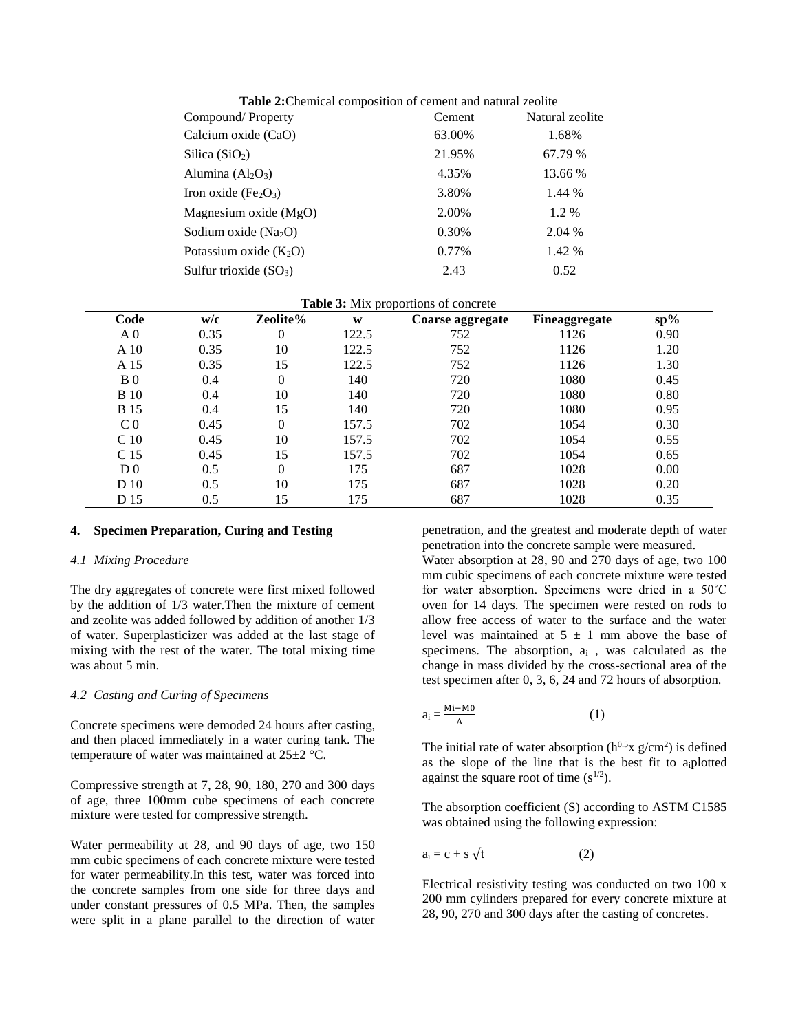| Compound/Property                            | Cement | Natural zeolite |
|----------------------------------------------|--------|-----------------|
| Calcium oxide (CaO)                          | 63.00% | 1.68%           |
| Silica $(SiO2)$                              | 21.95% | 67.79 %         |
| Alumina $(Al2O3)$                            | 4.35%  | 13.66 %         |
| Iron oxide (Fe <sub>2</sub> O <sub>3</sub> ) | 3.80%  | 1.44 %          |
| Magnesium oxide $(MgO)$                      | 2.00%  | 1.2 %           |
| Sodium oxide $(Na_2O)$                       | 0.30%  | 2.04 %          |
| Potassium oxide $(K_2O)$                     | 0.77%  | 1.42 %          |
| Sulfur trioxide $(SO_3)$                     | 2.43   | 0.52            |

**Table 2:**Chemical composition of cement and natural zeolite

| Code            | w/c  | Zeolite% | W     | Coarse aggregate | Fineaggregate | $sp\%$ |
|-----------------|------|----------|-------|------------------|---------------|--------|
| A <sub>0</sub>  | 0.35 | 0        | 122.5 | 752              | 1126          | 0.90   |
| A 10            | 0.35 | 10       | 122.5 | 752              | 1126          | 1.20   |
| A 15            | 0.35 | 15       | 122.5 | 752              | 1126          | 1.30   |
| B <sub>0</sub>  | 0.4  | $\theta$ | 140   | 720              | 1080          | 0.45   |
| <b>B</b> 10     | 0.4  | 10       | 140   | 720              | 1080          | 0.80   |
| <b>B</b> 15     | 0.4  | 15       | 140   | 720              | 1080          | 0.95   |
| C <sub>0</sub>  | 0.45 | 0        | 157.5 | 702              | 1054          | 0.30   |
| C <sub>10</sub> | 0.45 | 10       | 157.5 | 702              | 1054          | 0.55   |
| C <sub>15</sub> | 0.45 | 15       | 157.5 | 702              | 1054          | 0.65   |
| D <sub>0</sub>  | 0.5  | 0        | 175   | 687              | 1028          | 0.00   |
| D 10            | 0.5  | 10       | 175   | 687              | 1028          | 0.20   |
| D 15            | 0.5  | 15       | 175   | 687              | 1028          | 0.35   |

## **4. Specimen Preparation, Curing and Testing**

#### *4.1 Mixing Procedure*

The dry aggregates of concrete were first mixed followed by the addition of 1/3 water.Then the mixture of cement and zeolite was added followed by addition of another 1/3 of water. Superplasticizer was added at the last stage of mixing with the rest of the water. The total mixing time was about 5 min.

## *4.2 Casting and Curing of Specimens*

Concrete specimens were demoded 24 hours after casting, and then placed immediately in a water curing tank. The temperature of water was maintained at 25±2 °C.

Compressive strength at 7, 28, 90, 180, 270 and 300 days of age, three 100mm cube specimens of each concrete mixture were tested for compressive strength.

Water permeability at 28, and 90 days of age, two 150 mm cubic specimens of each concrete mixture were tested for water permeability.In this test, water was forced into the concrete samples from one side for three days and under constant pressures of 0.5 MPa. Then, the samples were split in a plane parallel to the direction of water penetration, and the greatest and moderate depth of water penetration into the concrete sample were measured.

Water absorption at 28, 90 and 270 days of age, two 100 mm cubic specimens of each concrete mixture were tested for water absorption. Specimens were dried in a 50˚C oven for 14 days. The specimen were rested on rods to allow free access of water to the surface and the water level was maintained at  $5 \pm 1$  mm above the base of specimens. The absorption,  $a_i$ , was calculated as the change in mass divided by the cross-sectional area of the test specimen after 0, 3, 6, 24 and 72 hours of absorption.

$$
a_i = \frac{Mi - Mo}{A} \tag{1}
$$

The initial rate of water absorption  $(h^{0.5}x g/cm^2)$  is defined as the slope of the line that is the best fit to aiplotted against the square root of time  $(s^{1/2})$ .

The absorption coefficient (S) according to ASTM C1585 was obtained using the following expression:

$$
a_i = c + s \sqrt{t} \tag{2}
$$

Electrical resistivity testing was conducted on two 100 x 200 mm cylinders prepared for every concrete mixture at 28, 90, 270 and 300 days after the casting of concretes.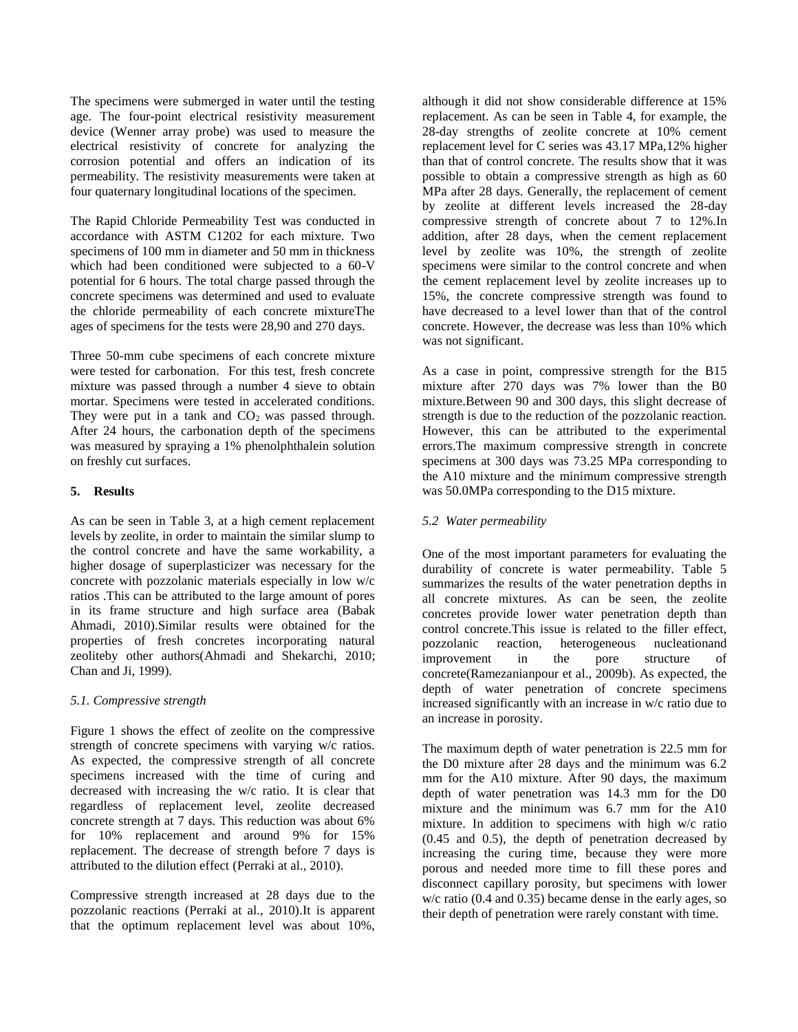The specimens were submerged in water until the testing age. The four-point electrical resistivity measurement device (Wenner array probe) was used to measure the electrical resistivity of concrete for analyzing the corrosion potential and offers an indication of its permeability. The resistivity measurements were taken at four quaternary longitudinal locations of the specimen.

The Rapid Chloride Permeability Test was conducted in accordance with ASTM C1202 for each mixture. Two specimens of 100 mm in diameter and 50 mm in thickness which had been conditioned were subjected to a 60-V potential for 6 hours. The total charge passed through the concrete specimens was determined and used to evaluate the chloride permeability of each concrete mixtureThe ages of specimens for the tests were 28,90 and 270 days.

Three 50-mm cube specimens of each concrete mixture were tested for carbonation. For this test, fresh concrete mixture was passed through a number 4 sieve to obtain mortar. Specimens were tested in accelerated conditions. They were put in a tank and  $CO<sub>2</sub>$  was passed through. After 24 hours, the carbonation depth of the specimens was measured by spraying a 1% phenolphthalein solution on freshly cut surfaces.

# **5. Results**

As can be seen in Table 3, at a high cement replacement levels by zeolite, in order to maintain the similar slump to the control concrete and have the same workability, a higher dosage of superplasticizer was necessary for the concrete with pozzolanic materials especially in low w/c ratios .This can be attributed to the large amount of pores in its frame structure and high surface area (Babak Ahmadi, 2010).Similar results were obtained for the properties of fresh concretes incorporating natural zeoliteby other authors(Ahmadi and Shekarchi, 2010; Chan and Ji, 1999).

## *5.1. Compressive strength*

Figure 1 shows the effect of zeolite on the compressive strength of concrete specimens with varying w/c ratios. As expected, the compressive strength of all concrete specimens increased with the time of curing and decreased with increasing the w/c ratio. It is clear that regardless of replacement level, zeolite decreased concrete strength at 7 days. This reduction was about 6% for 10% replacement and around 9% for 15% replacement. The decrease of strength before 7 days is attributed to the dilution effect (Perraki at al., 2010).

Compressive strength increased at 28 days due to the pozzolanic reactions (Perraki at al., 2010).It is apparent that the optimum replacement level was about 10%, although it did not show considerable difference at 15% replacement. As can be seen in Table 4, for example, the 28-day strengths of zeolite concrete at 10% cement replacement level for C series was 43.17 MPa,12% higher than that of control concrete. The results show that it was possible to obtain a compressive strength as high as 60 MPa after 28 days. Generally, the replacement of cement by zeolite at different levels increased the 28-day compressive strength of concrete about 7 to 12%.In addition, after 28 days, when the cement replacement level by zeolite was 10%, the strength of zeolite specimens were similar to the control concrete and when the cement replacement level by zeolite increases up to 15%, the concrete compressive strength was found to have decreased to a level lower than that of the control concrete. However, the decrease was less than 10% which was not significant.

As a case in point, compressive strength for the B15 mixture after 270 days was 7% lower than the B0 mixture.Between 90 and 300 days, this slight decrease of strength is due to the reduction of the pozzolanic reaction. However, this can be attributed to the experimental errors.The maximum compressive strength in concrete specimens at 300 days was 73.25 MPa corresponding to the A10 mixture and the minimum compressive strength was 50.0MPa corresponding to the D15 mixture.

# *5.2 Water permeability*

One of the most important parameters for evaluating the durability of concrete is water permeability. Table 5 summarizes the results of the water penetration depths in all concrete mixtures. As can be seen, the zeolite concretes provide lower water penetration depth than control concrete.This issue is related to the filler effect, pozzolanic reaction, heterogeneous nucleationand improvement in the pore structure of concrete(Ramezanianpour et al., 2009b). As expected, the depth of water penetration of concrete specimens increased significantly with an increase in w/c ratio due to an increase in porosity.

The maximum depth of water penetration is 22.5 mm for the D0 mixture after 28 days and the minimum was 6.2 mm for the A10 mixture. After 90 days, the maximum depth of water penetration was 14.3 mm for the D0 mixture and the minimum was 6.7 mm for the A10 mixture. In addition to specimens with high w/c ratio (0.45 and 0.5), the depth of penetration decreased by increasing the curing time, because they were more porous and needed more time to fill these pores and disconnect capillary porosity, but specimens with lower w/c ratio (0.4 and 0.35) became dense in the early ages, so their depth of penetration were rarely constant with time.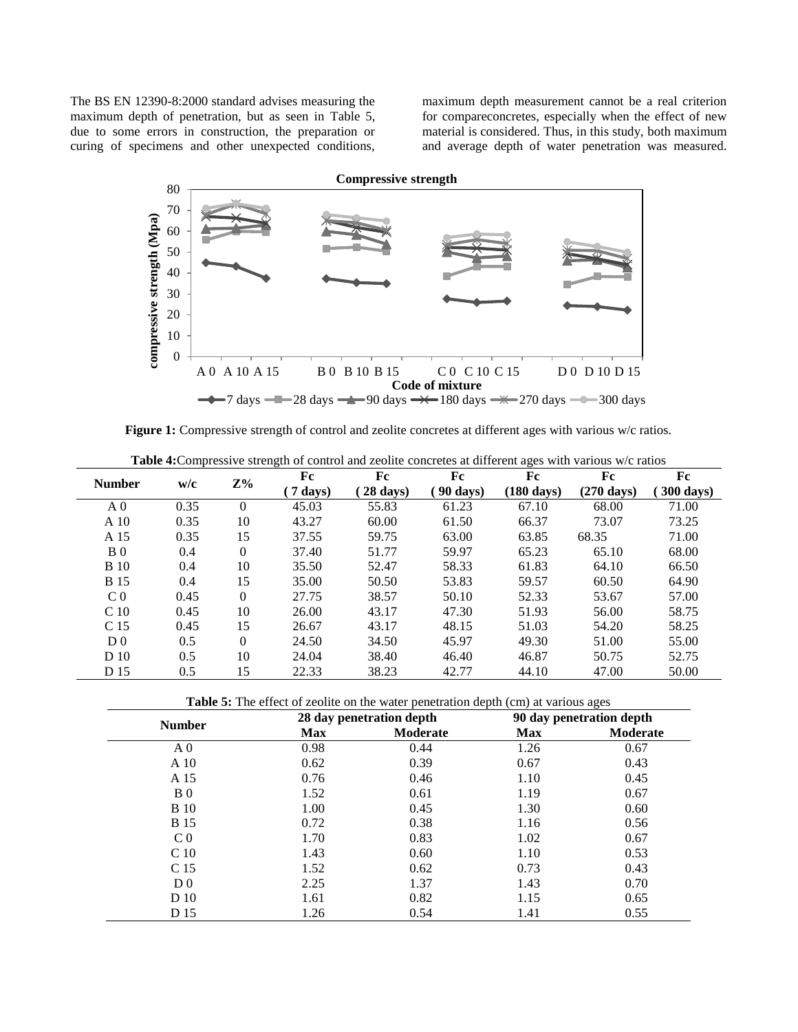The BS EN 12390-8:2000 standard advises measuring the maximum depth of penetration, but as seen in Table 5, due to some errors in construction, the preparation or curing of specimens and other unexpected conditions,

maximum depth measurement cannot be a real criterion for compareconcretes, especially when the effect of new material is considered. Thus, in this study, both maximum and average depth of water penetration was measured.



Figure 1: Compressive strength of control and zeolite concretes at different ages with various w/c ratios.

| <b>Number</b><br>w/c |      | $Z\%$    | Fc               | Fc                | Fc              | Fc                   | Fc                   | Fc        |
|----------------------|------|----------|------------------|-------------------|-----------------|----------------------|----------------------|-----------|
|                      |      |          | $\sqrt{7}$ days) | $28 \text{ days}$ | <b>90 days)</b> | $(180 \text{ days})$ | $(270 \text{ days})$ | 300 days) |
| A <sub>0</sub>       | 0.35 | $\Omega$ | 45.03            | 55.83             | 61.23           | 67.10                | 68.00                | 71.00     |
| A 10                 | 0.35 | 10       | 43.27            | 60.00             | 61.50           | 66.37                | 73.07                | 73.25     |
| A 15                 | 0.35 | 15       | 37.55            | 59.75             | 63.00           | 63.85                | 68.35                | 71.00     |
| B <sub>0</sub>       | 0.4  | $\Omega$ | 37.40            | 51.77             | 59.97           | 65.23                | 65.10                | 68.00     |
| <b>B</b> 10          | 0.4  | 10       | 35.50            | 52.47             | 58.33           | 61.83                | 64.10                | 66.50     |
| <b>B</b> 15          | 0.4  | 15       | 35.00            | 50.50             | 53.83           | 59.57                | 60.50                | 64.90     |
| C <sub>0</sub>       | 0.45 | $\Omega$ | 27.75            | 38.57             | 50.10           | 52.33                | 53.67                | 57.00     |
| C <sub>10</sub>      | 0.45 | 10       | 26.00            | 43.17             | 47.30           | 51.93                | 56.00                | 58.75     |
| C <sub>15</sub>      | 0.45 | 15       | 26.67            | 43.17             | 48.15           | 51.03                | 54.20                | 58.25     |
| D <sub>0</sub>       | 0.5  | $\Omega$ | 24.50            | 34.50             | 45.97           | 49.30                | 51.00                | 55.00     |
| D 10                 | 0.5  | 10       | 24.04            | 38.40             | 46.40           | 46.87                | 50.75                | 52.75     |
| D 15                 | 0.5  | 15       | 22.33            | 38.23             | 42.77           | 44.10                | 47.00                | 50.00     |

**Table 4:**Compressive strength of control and zeolite concretes at different ages with various w/c ratios

**Table 5:** The effect of zeolite on the water penetration depth (cm) at various ages

|                 |            | 28 day penetration depth | 90 day penetration depth |                 |
|-----------------|------------|--------------------------|--------------------------|-----------------|
| <b>Number</b>   | <b>Max</b> | <b>Moderate</b>          | <b>Max</b>               | <b>Moderate</b> |
| A <sub>0</sub>  | 0.98       | 0.44                     | 1.26                     | 0.67            |
| A 10            | 0.62       | 0.39                     | 0.67                     | 0.43            |
| A 15            | 0.76       | 0.46                     | 1.10                     | 0.45            |
| B <sub>0</sub>  | 1.52       | 0.61                     | 1.19                     | 0.67            |
| <b>B</b> 10     | 1.00       | 0.45                     | 1.30                     | 0.60            |
| <b>B</b> 15     | 0.72       | 0.38                     | 1.16                     | 0.56            |
| C <sub>0</sub>  | 1.70       | 0.83                     | 1.02                     | 0.67            |
| C <sub>10</sub> | 1.43       | 0.60                     | 1.10                     | 0.53            |
| C 15            | 1.52       | 0.62                     | 0.73                     | 0.43            |
| D <sub>0</sub>  | 2.25       | 1.37                     | 1.43                     | 0.70            |
| D 10            | 1.61       | 0.82                     | 1.15                     | 0.65            |
| D 15            | 1.26       | 0.54                     | 1.41                     | 0.55            |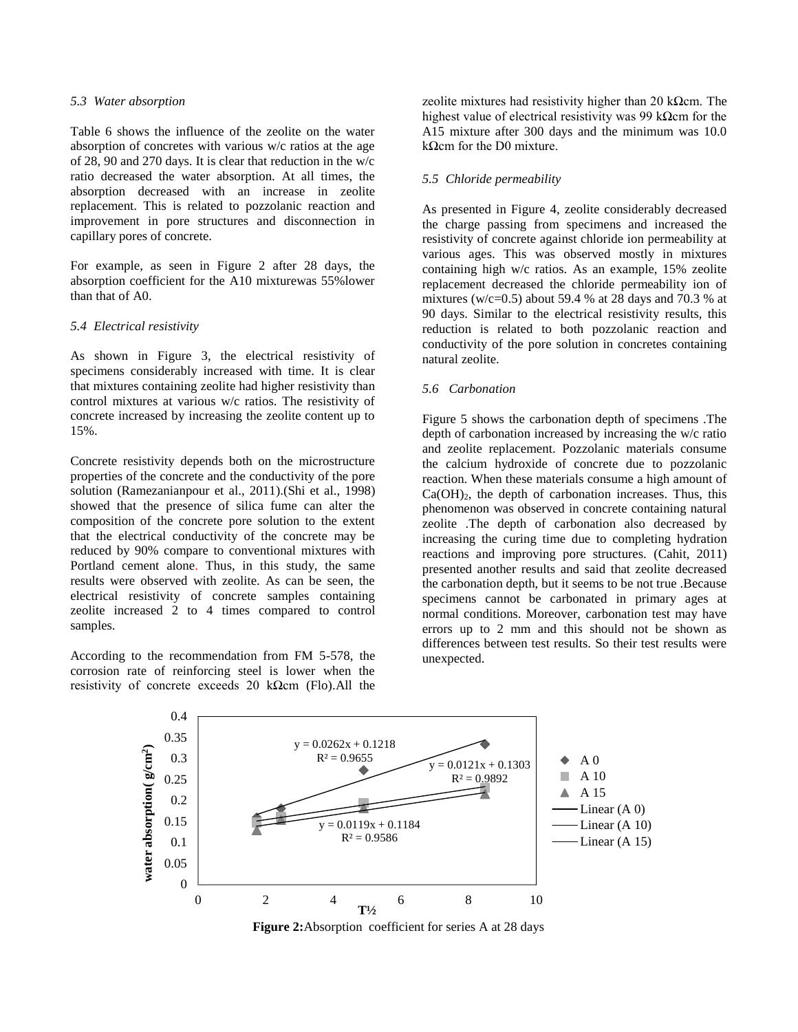#### *5.3 Water absorption*

Table 6 shows the influence of the zeolite on the water absorption of concretes with various w/c ratios at the age of 28, 90 and 270 days. It is clear that reduction in the w/c ratio decreased the water absorption. At all times, the absorption decreased with an increase in zeolite replacement. This is related to pozzolanic reaction and improvement in pore structures and disconnection in capillary pores of concrete.

For example, as seen in Figure 2 after 28 days, the absorption coefficient for the A10 mixturewas 55%lower than that of A0.

#### *5.4 Electrical resistivity*

As shown in Figure 3, the electrical resistivity of specimens considerably increased with time. It is clear that mixtures containing zeolite had higher resistivity than control mixtures at various w/c ratios. The resistivity of concrete increased by increasing the zeolite content up to 15%.

Concrete resistivity depends both on the microstructure properties of the concrete and the conductivity of the pore solution (Ramezanianpour et al., 2011).(Shi et al., 1998) showed that the presence of silica fume can alter the composition of the concrete pore solution to the extent that the electrical conductivity of the concrete may be reduced by 90% compare to conventional mixtures with Portland cement alone. Thus, in this study, the same results were observed with zeolite. As can be seen, the electrical resistivity of concrete samples containing zeolite increased 2 to 4 times compared to control samples.

According to the recommendation from FM 5-578, the corrosion rate of reinforcing steel is lower when the resistivity of concrete exceeds 20 kΩcm (Flo).All the

zeolite mixtures had resistivity higher than 20 kΩcm. The highest value of electrical resistivity was 99 kΩcm for the A15 mixture after 300 days and the minimum was 10.0 kΩcm for the D0 mixture.

# *5.5 Chloride permeability*

As presented in Figure 4, zeolite considerably decreased the charge passing from specimens and increased the resistivity of concrete against chloride ion permeability at various ages. This was observed mostly in mixtures containing high w/c ratios. As an example, 15% zeolite replacement decreased the chloride permeability ion of mixtures (w/c=0.5) about 59.4 % at 28 days and 70.3 % at 90 days. Similar to the electrical resistivity results, this reduction is related to both pozzolanic reaction and conductivity of the pore solution in concretes containing natural zeolite.

#### *5.6 Carbonation*

Figure 5 shows the carbonation depth of specimens .The depth of carbonation increased by increasing the w/c ratio and zeolite replacement. Pozzolanic materials consume the calcium hydroxide of concrete due to pozzolanic reaction. When these materials consume a high amount of  $Ca(OH)_2$ , the depth of carbonation increases. Thus, this phenomenon was observed in concrete containing natural zeolite .The depth of carbonation also decreased by increasing the curing time due to completing hydration reactions and improving pore structures. (Cahit, 2011) presented another results and said that zeolite decreased the carbonation depth, but it seems to be not true .Because specimens cannot be carbonated in primary ages at normal conditions. Moreover, carbonation test may have errors up to 2 mm and this should not be shown as differences between test results. So their test results were unexpected.



**Figure 2:**Absorption coefficient for series A at 28 days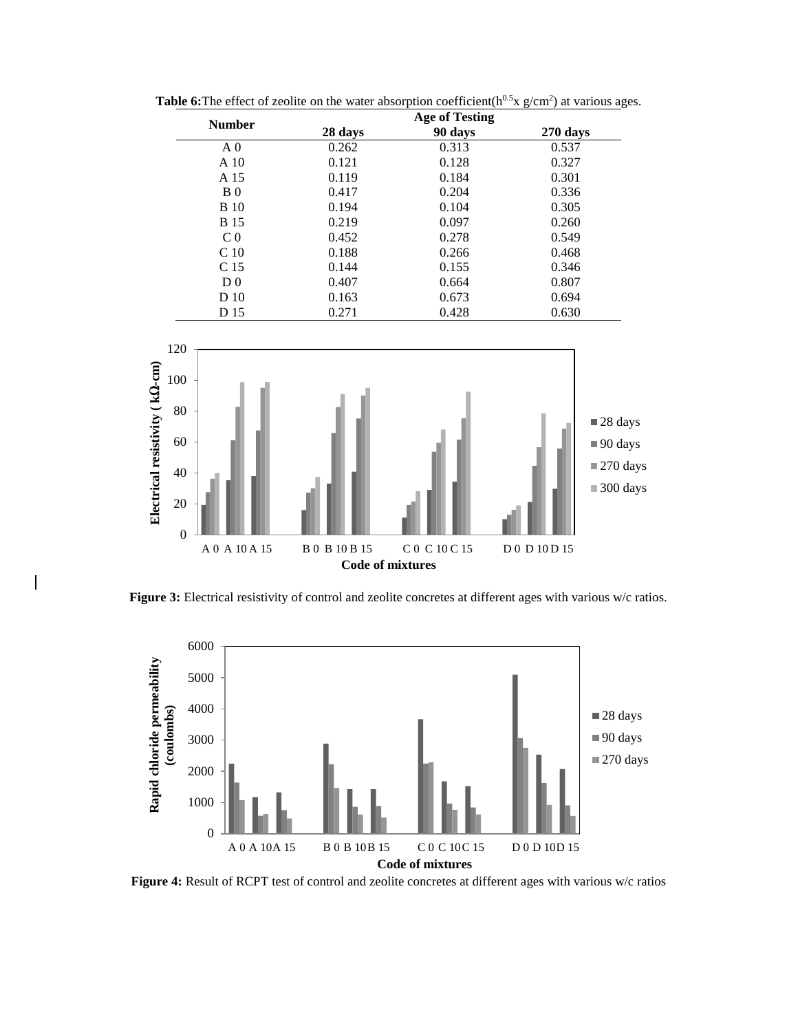| <b>Number</b>   |         | <b>Age of Testing</b> |          |
|-----------------|---------|-----------------------|----------|
|                 | 28 days | 90 days               | 270 days |
| A <sub>0</sub>  | 0.262   | 0.313                 | 0.537    |
| A <sub>10</sub> | 0.121   | 0.128                 | 0.327    |
| A 15            | 0.119   | 0.184                 | 0.301    |
| B <sub>0</sub>  | 0.417   | 0.204                 | 0.336    |
| <b>B</b> 10     | 0.194   | 0.104                 | 0.305    |
| <b>B</b> 15     | 0.219   | 0.097                 | 0.260    |
| C <sub>0</sub>  | 0.452   | 0.278                 | 0.549    |
| C <sub>10</sub> | 0.188   | 0.266                 | 0.468    |
| C 15            | 0.144   | 0.155                 | 0.346    |
| D <sub>0</sub>  | 0.407   | 0.664                 | 0.807    |
| D 10            | 0.163   | 0.673                 | 0.694    |
| D 15            | 0.271   | 0.428                 | 0.630    |

**Table 6:** The effect of zeolite on the water absorption coefficient( $h^{0.5}$ x  $g/cm^2$ ) at various ages.



**Figure 3:** Electrical resistivity of control and zeolite concretes at different ages with various w/c ratios.



Figure 4: Result of RCPT test of control and zeolite concretes at different ages with various w/c ratios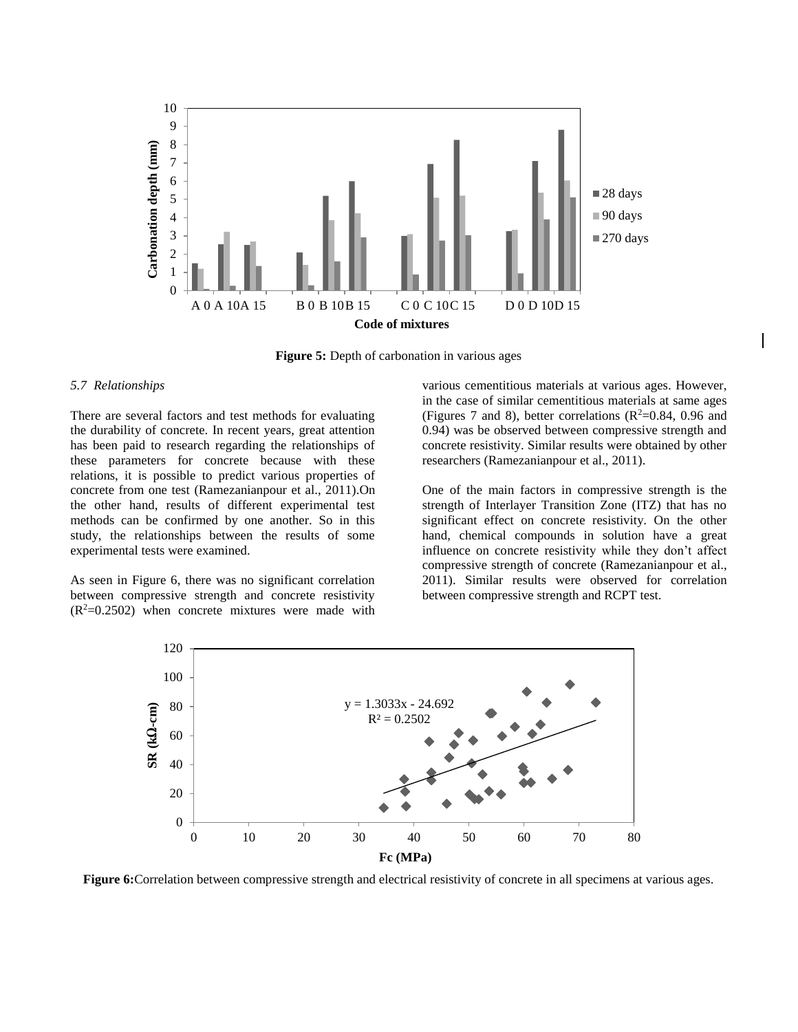

**Figure 5:** Depth of carbonation in various ages

# *5.7 Relationships*

There are several factors and test methods for evaluating the durability of concrete. In recent years, great attention has been paid to research regarding the relationships of these parameters for concrete because with these relations, it is possible to predict various properties of concrete from one test (Ramezanianpour et al., 2011).On the other hand, results of different experimental test methods can be confirmed by one another. So in this study, the relationships between the results of some experimental tests were examined.

As seen in Figure 6, there was no significant correlation between compressive strength and concrete resistivity  $(R<sup>2</sup>=0.2502)$  when concrete mixtures were made with

various cementitious materials at various ages. However, in the case of similar cementitious materials at same ages (Figures 7 and 8), better correlations ( $\mathbb{R}^2$ =0.84, 0.96 and 0.94) was be observed between compressive strength and concrete resistivity. Similar results were obtained by other researchers (Ramezanianpour et al., 2011).

One of the main factors in compressive strength is the strength of Interlayer Transition Zone (ITZ) that has no significant effect on concrete resistivity. On the other hand, chemical compounds in solution have a great influence on concrete resistivity while they don't affect compressive strength of concrete (Ramezanianpour et al., 2011). Similar results were observed for correlation between compressive strength and RCPT test.



**Figure 6:** Correlation between compressive strength and electrical resistivity of concrete in all specimens at various ages.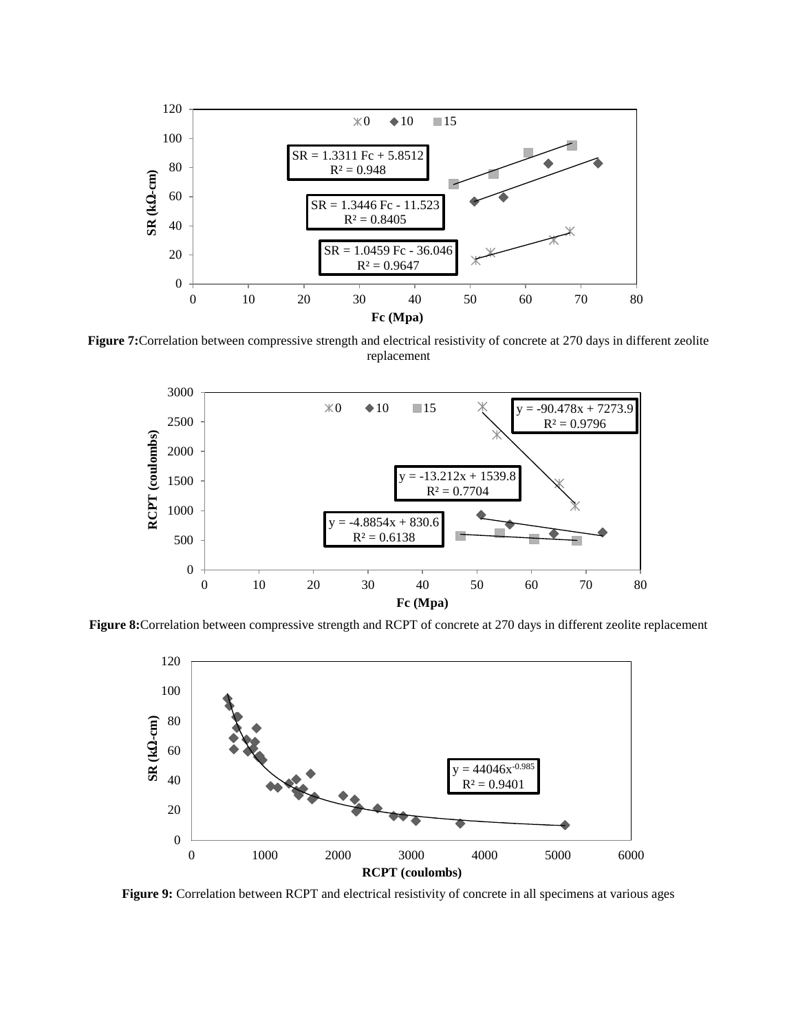

**Figure 7:**Correlation between compressive strength and electrical resistivity of concrete at 270 days in different zeolite replacement



**Figure 8:**Correlation between compressive strength and RCPT of concrete at 270 days in different zeolite replacement



Figure 9: Correlation between RCPT and electrical resistivity of concrete in all specimens at various ages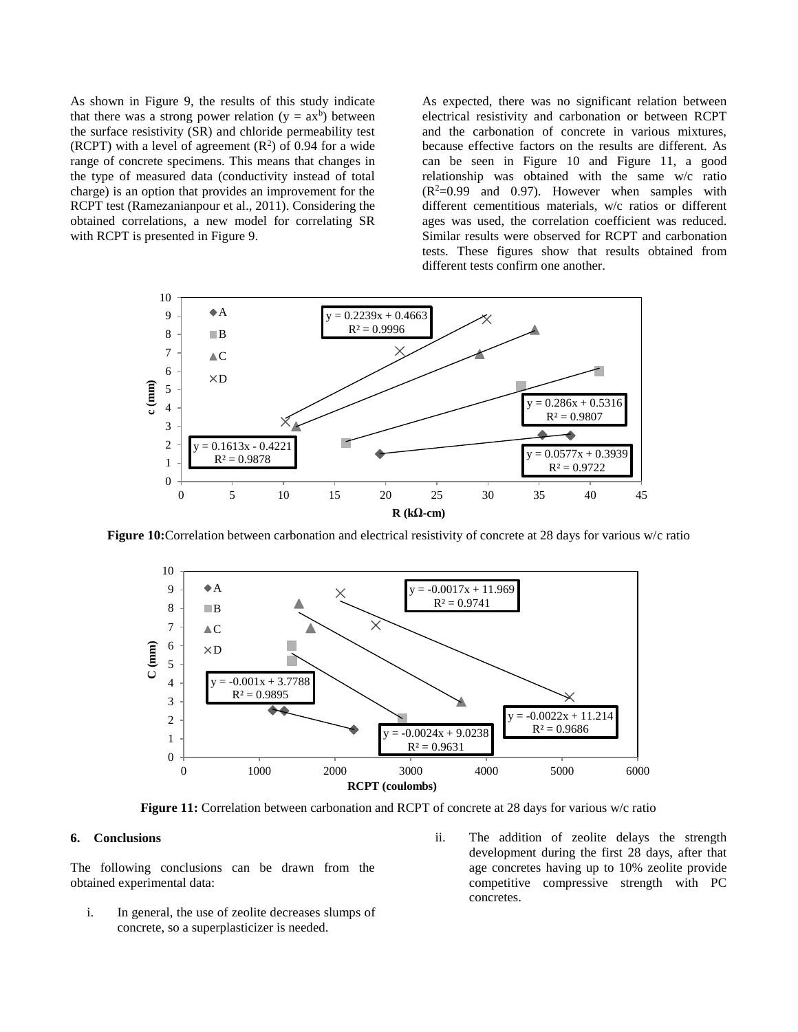As shown in Figure 9, the results of this study indicate that there was a strong power relation  $(y = ax^b)$  between the surface resistivity (SR) and chloride permeability test (RCPT) with a level of agreement  $(R^2)$  of 0.94 for a wide range of concrete specimens. This means that changes in the type of measured data (conductivity instead of total charge) is an option that provides an improvement for the RCPT test (Ramezanianpour et al., 2011). Considering the obtained correlations, a new model for correlating SR with RCPT is presented in Figure 9.

As expected, there was no significant relation between electrical resistivity and carbonation or between RCPT and the carbonation of concrete in various mixtures, because effective factors on the results are different. As can be seen in Figure 10 and Figure 11, a good relationship was obtained with the same w/c ratio  $(R^2=0.99$  and 0.97). However when samples with different cementitious materials, w/c ratios or different ages was used, the correlation coefficient was reduced. Similar results were observed for RCPT and carbonation tests. These figures show that results obtained from different tests confirm one another.



**Figure 10:**Correlation between carbonation and electrical resistivity of concrete at 28 days for various w/c ratio



**Figure 11:** Correlation between carbonation and RCPT of concrete at 28 days for various w/c ratio

#### **6. Conclusions**

The following conclusions can be drawn from the obtained experimental data:

- i. In general, the use of zeolite decreases slumps of concrete, so a superplasticizer is needed.
- ii. The addition of zeolite delays the strength development during the first 28 days, after that age concretes having up to 10% zeolite provide competitive compressive strength with PC concretes.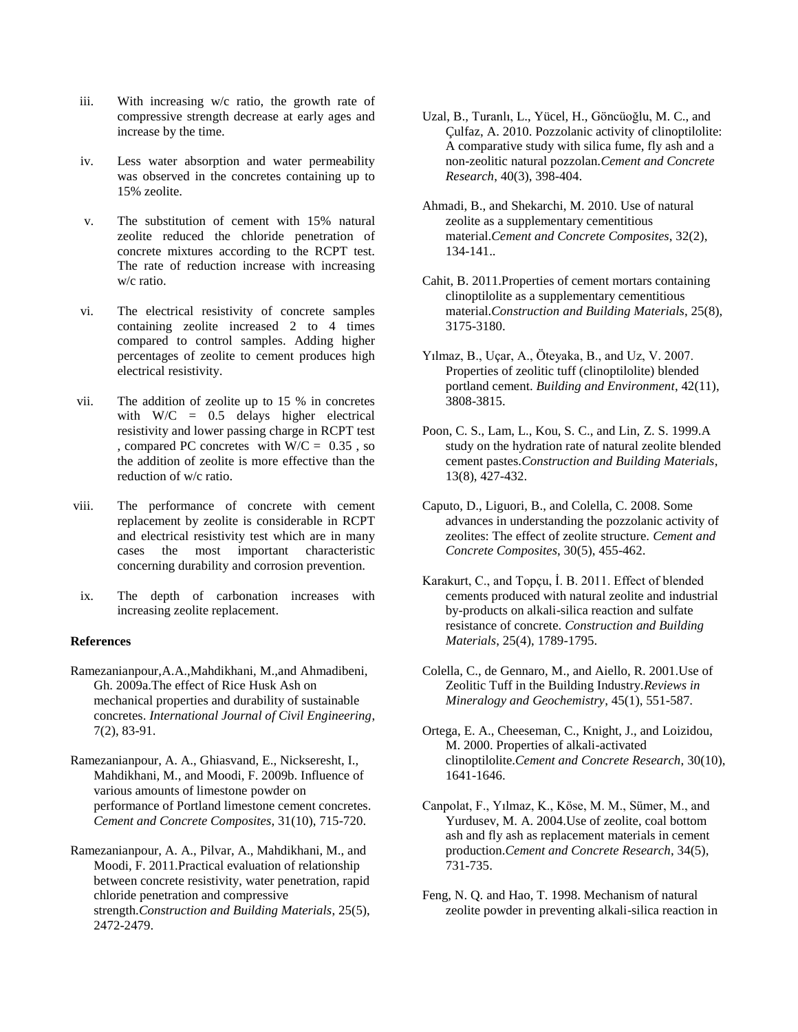- iii. With increasing w/c ratio, the growth rate of compressive strength decrease at early ages and increase by the time.
- iv. Less water absorption and water permeability was observed in the concretes containing up to 15% zeolite.
- v. The substitution of cement with 15% natural zeolite reduced the chloride penetration of concrete mixtures according to the RCPT test. The rate of reduction increase with increasing w/c ratio.
- vi. The electrical resistivity of concrete samples containing zeolite increased 2 to 4 times compared to control samples. Adding higher percentages of zeolite to cement produces high electrical resistivity.
- vii. The addition of zeolite up to 15 % in concretes with  $W/C = 0.5$  delays higher electrical resistivity and lower passing charge in RCPT test , compared PC concretes with  $W/C = 0.35$ , so the addition of zeolite is more effective than the reduction of w/c ratio.
- viii. The performance of concrete with cement replacement by zeolite is considerable in RCPT and electrical resistivity test which are in many cases the most important characteristic concerning durability and corrosion prevention.
- ix. The depth of carbonation increases with increasing zeolite replacement.

## **References**

- Ramezanianpour,A.A.,Mahdikhani, M.,and Ahmadibeni, Gh. 2009a.The effect of Rice Husk Ash on mechanical properties and durability of sustainable concretes. *International Journal of Civil Engineering*, 7(2), 83-91.
- Ramezanianpour, A. A., Ghiasvand, E., Nickseresht, I., Mahdikhani, M., and Moodi, F. 2009b. Influence of various amounts of limestone powder on performance of Portland limestone cement concretes. *Cement and Concrete Composites*, 31(10), 715-720.
- Ramezanianpour, A. A., Pilvar, A., Mahdikhani, M., and Moodi, F. 2011.Practical evaluation of relationship between concrete resistivity, water penetration, rapid chloride penetration and compressive strength.*Construction and Building Materials*, 25(5), 2472-2479.
- Uzal, B., Turanlı, L., Yücel, H., Göncüoğlu, M. C., and Çulfaz, A. 2010. Pozzolanic activity of clinoptilolite: A comparative study with silica fume, fly ash and a non-zeolitic natural pozzolan.*Cement and Concrete Research*, 40(3), 398-404.
- Ahmadi, B., and Shekarchi, M. 2010. Use of natural zeolite as a supplementary cementitious material.*Cement and Concrete Composites*, 32(2), 134-141..
- Cahit, B. 2011.Properties of cement mortars containing clinoptilolite as a supplementary cementitious material.*Construction and Building Materials*, 25(8), 3175-3180.
- Yılmaz, B., Uçar, A., Öteyaka, B., and Uz, V. 2007. Properties of zeolitic tuff (clinoptilolite) blended portland cement. *Building and Environment*, 42(11), 3808-3815.
- Poon, C. S., Lam, L., Kou, S. C., and Lin, Z. S. 1999.A study on the hydration rate of natural zeolite blended cement pastes.*Construction and Building Materials*, 13(8), 427-432.
- Caputo, D., Liguori, B., and Colella, C. 2008. Some advances in understanding the pozzolanic activity of zeolites: The effect of zeolite structure. *Cement and Concrete Composites*, 30(5), 455-462.
- Karakurt, C., and Topçu, İ. B. 2011. Effect of blended cements produced with natural zeolite and industrial by-products on alkali-silica reaction and sulfate resistance of concrete. *Construction and Building Materials*, 25(4), 1789-1795.
- Colella, C., de Gennaro, M., and Aiello, R. 2001.Use of Zeolitic Tuff in the Building Industry.*Reviews in Mineralogy and Geochemistry*, 45(1), 551-587.
- Ortega, E. A., Cheeseman, C., Knight, J., and Loizidou, M. 2000. Properties of alkali-activated clinoptilolite.*Cement and Concrete Research*, 30(10), 1641-1646.
- Canpolat, F., Yılmaz, K., Köse, M. M., Sümer, M., and Yurdusev, M. A. 2004.Use of zeolite, coal bottom ash and fly ash as replacement materials in cement production.*Cement and Concrete Research*, 34(5), 731-735.
- Feng, N. Q. and Hao, T. 1998. Mechanism of natural zeolite powder in preventing alkali-silica reaction in